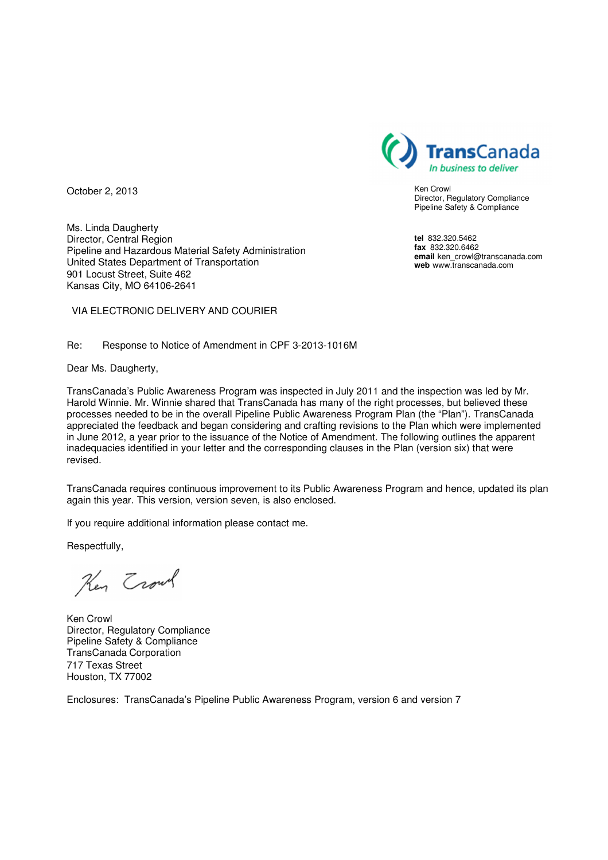

Ken Crowl Director, Regulatory Compliance Pipeline Safety & Compliance

**tel** 832.320.5462 **fax** 832.320.6462 **email** ken\_crowl@transcanada.com **web** www.transcanada.com

October 2, 2013

Ms. Linda Daugherty Director, Central Region Pipeline and Hazardous Material Safety Administration United States Department of Transportation 901 Locust Street, Suite 462 Kansas City, MO 64106-2641

VIA ELECTRONIC DELIVERY AND COURIER

Re: Response to Notice of Amendment in CPF 3-2013-1016M

Dear Ms. Daugherty,

TransCanada's Public Awareness Program was inspected in July 2011 and the inspection was led by Mr. Harold Winnie. Mr. Winnie shared that TransCanada has many of the right processes, but believed these processes needed to be in the overall Pipeline Public Awareness Program Plan (the "Plan"). TransCanada appreciated the feedback and began considering and crafting revisions to the Plan which were implemented in June 2012, a year prior to the issuance of the Notice of Amendment. The following outlines the apparent inadequacies identified in your letter and the corresponding clauses in the Plan (version six) that were revised.

TransCanada requires continuous improvement to its Public Awareness Program and hence, updated its plan again this year. This version, version seven, is also enclosed.

If you require additional information please contact me.

Respectfully,

Key Trout

Ken Crowl Director, Regulatory Compliance Pipeline Safety & Compliance TransCanada Corporation 717 Texas Street Houston, TX 77002

Enclosures: TransCanada's Pipeline Public Awareness Program, version 6 and version 7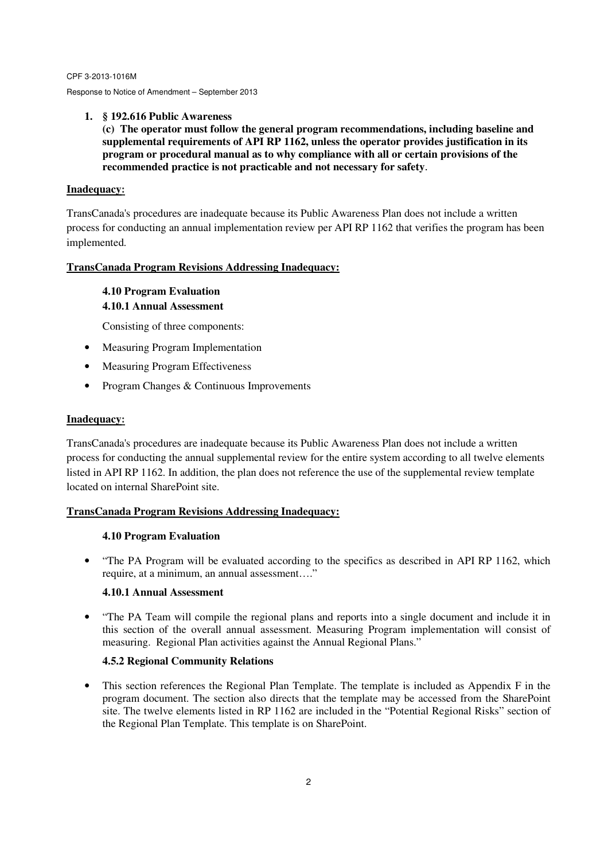#### **1. § 192.616 Public Awareness**

**(c) The operator must follow the general program recommendations, including baseline and supplemental requirements of API RP 1162, unless the operator provides justification in its program or procedural manual as to why compliance with all or certain provisions of the recommended practice is not practicable and not necessary for safety**.

#### **Inadequacy:**

TransCanada's procedures are inadequate because its Public Awareness Plan does not include a written process for conducting an annual implementation review per API RP 1162 that verifies the program has been implemented.

# **TransCanada Program Revisions Addressing Inadequacy:**

# **4.10 Program Evaluation 4.10.1 Annual Assessment**

Consisting of three components:

- Measuring Program Implementation
- Measuring Program Effectiveness
- Program Changes & Continuous Improvements

# **Inadequacy:**

TransCanada's procedures are inadequate because its Public Awareness Plan does not include a written process for conducting the annual supplemental review for the entire system according to all twelve elements listed in API RP 1162. In addition, the plan does not reference the use of the supplemental review template located on internal SharePoint site.

# **TransCanada Program Revisions Addressing Inadequacy:**

# **4.10 Program Evaluation**

• "The PA Program will be evaluated according to the specifics as described in API RP 1162, which require, at a minimum, an annual assessment…."

# **4.10.1 Annual Assessment**

• "The PA Team will compile the regional plans and reports into a single document and include it in this section of the overall annual assessment. Measuring Program implementation will consist of measuring. Regional Plan activities against the Annual Regional Plans."

# **4.5.2 Regional Community Relations**

• This section references the Regional Plan Template. The template is included as Appendix F in the program document. The section also directs that the template may be accessed from the SharePoint site. The twelve elements listed in RP 1162 are included in the "Potential Regional Risks" section of the Regional Plan Template. This template is on SharePoint.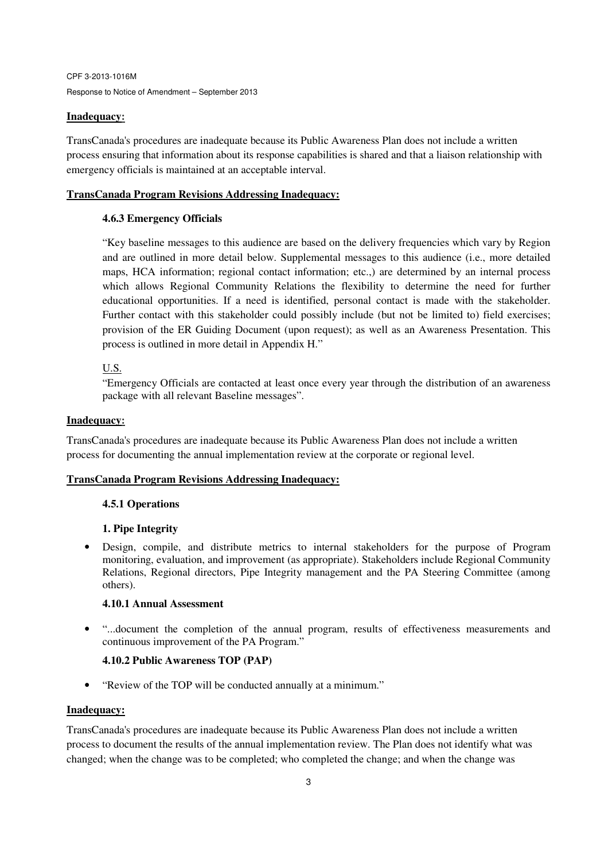#### **Inadequacy:**

TransCanada's procedures are inadequate because its Public Awareness Plan does not include a written process ensuring that information about its response capabilities is shared and that a liaison relationship with emergency officials is maintained at an acceptable interval.

#### **TransCanada Program Revisions Addressing Inadequacy:**

#### **4.6.3 Emergency Officials**

"Key baseline messages to this audience are based on the delivery frequencies which vary by Region and are outlined in more detail below. Supplemental messages to this audience (i.e., more detailed maps, HCA information; regional contact information; etc.,) are determined by an internal process which allows Regional Community Relations the flexibility to determine the need for further educational opportunities. If a need is identified, personal contact is made with the stakeholder. Further contact with this stakeholder could possibly include (but not be limited to) field exercises; provision of the ER Guiding Document (upon request); as well as an Awareness Presentation. This process is outlined in more detail in Appendix H."

# U.S.

"Emergency Officials are contacted at least once every year through the distribution of an awareness package with all relevant Baseline messages".

#### **Inadequacy:**

TransCanada's procedures are inadequate because its Public Awareness Plan does not include a written process for documenting the annual implementation review at the corporate or regional level.

#### **TransCanada Program Revisions Addressing Inadequacy:**

# **4.5.1 Operations**

# **1. Pipe Integrity**

• Design, compile, and distribute metrics to internal stakeholders for the purpose of Program monitoring, evaluation, and improvement (as appropriate). Stakeholders include Regional Community Relations, Regional directors, Pipe Integrity management and the PA Steering Committee (among others).

# **4.10.1 Annual Assessment**

• "...document the completion of the annual program, results of effectiveness measurements and continuous improvement of the PA Program."

# **4.10.2 Public Awareness TOP (PAP)**

• "Review of the TOP will be conducted annually at a minimum."

#### **Inadequacy:**

TransCanada's procedures are inadequate because its Public Awareness Plan does not include a written process to document the results of the annual implementation review. The Plan does not identify what was changed; when the change was to be completed; who completed the change; and when the change was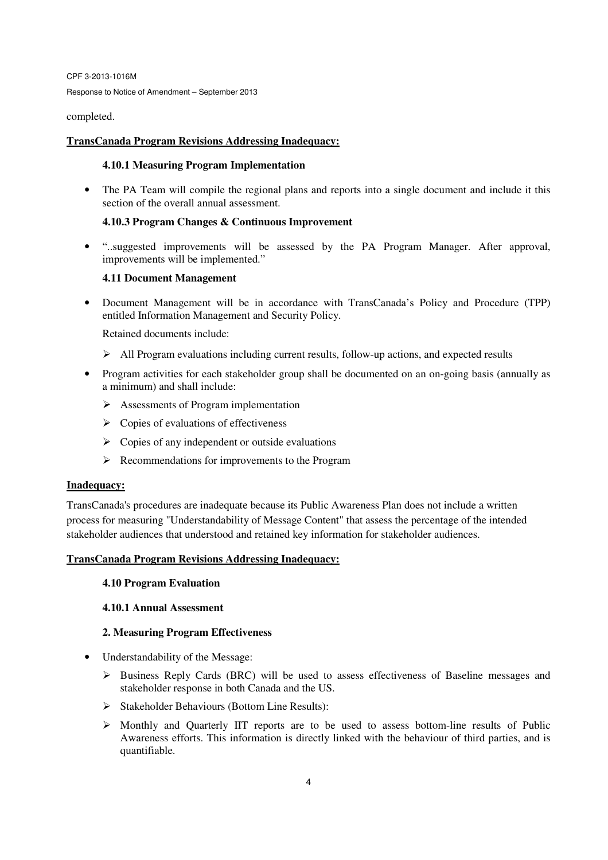completed.

#### **TransCanada Program Revisions Addressing Inadequacy:**

#### **4.10.1 Measuring Program Implementation**

• The PA Team will compile the regional plans and reports into a single document and include it this section of the overall annual assessment.

#### **4.10.3 Program Changes & Continuous Improvement**

• "..suggested improvements will be assessed by the PA Program Manager. After approval, improvements will be implemented."

#### **4.11 Document Management**

• Document Management will be in accordance with TransCanada's Policy and Procedure (TPP) entitled Information Management and Security Policy.

Retained documents include:

- $\triangleright$  All Program evaluations including current results, follow-up actions, and expected results
- Program activities for each stakeholder group shall be documented on an on-going basis (annually as a minimum) and shall include:
	- $\triangleright$  Assessments of Program implementation
	- $\triangleright$  Copies of evaluations of effectiveness
	- $\triangleright$  Copies of any independent or outside evaluations
	- $\triangleright$  Recommendations for improvements to the Program

#### **Inadequacy:**

TransCanada's procedures are inadequate because its Public Awareness Plan does not include a written process for measuring "Understandability of Message Content" that assess the percentage of the intended stakeholder audiences that understood and retained key information for stakeholder audiences.

#### **TransCanada Program Revisions Addressing Inadequacy:**

#### **4.10 Program Evaluation**

#### **4.10.1 Annual Assessment**

#### **2. Measuring Program Effectiveness**

- Understandability of the Message:
	- Business Reply Cards (BRC) will be used to assess effectiveness of Baseline messages and stakeholder response in both Canada and the US.
	- $\triangleright$  Stakeholder Behaviours (Bottom Line Results):
	- $\triangleright$  Monthly and Quarterly IIT reports are to be used to assess bottom-line results of Public Awareness efforts. This information is directly linked with the behaviour of third parties, and is quantifiable.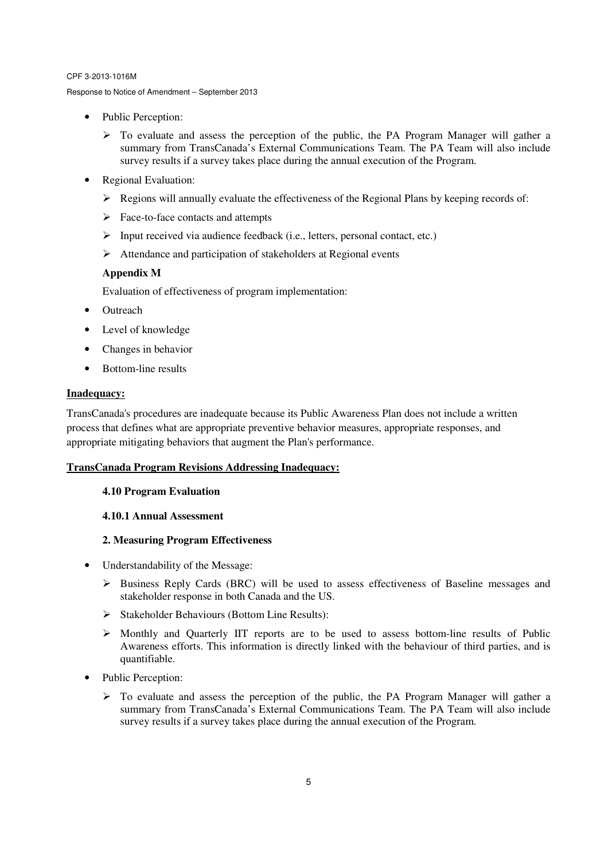Response to Notice of Amendment – September 2013

- Public Perception:
	- $\triangleright$  To evaluate and assess the perception of the public, the PA Program Manager will gather a summary from TransCanada's External Communications Team. The PA Team will also include survey results if a survey takes place during the annual execution of the Program.
- Regional Evaluation:
	- $\triangleright$  Regions will annually evaluate the effectiveness of the Regional Plans by keeping records of:
	- $\triangleright$  Face-to-face contacts and attempts
	- $\triangleright$  Input received via audience feedback (i.e., letters, personal contact, etc.)
	- $\triangleright$  Attendance and participation of stakeholders at Regional events

# **Appendix M**

Evaluation of effectiveness of program implementation:

- Outreach
- Level of knowledge
- Changes in behavior
- Bottom-line results

# **Inadequacy:**

TransCanada's procedures are inadequate because its Public Awareness Plan does not include a written process that defines what are appropriate preventive behavior measures, appropriate responses, and appropriate mitigating behaviors that augment the Plan's performance.

# **TransCanada Program Revisions Addressing Inadequacy:**

# **4.10 Program Evaluation**

# **4.10.1 Annual Assessment**

# **2. Measuring Program Effectiveness**

- Understandability of the Message:
	- $\triangleright$  Business Reply Cards (BRC) will be used to assess effectiveness of Baseline messages and stakeholder response in both Canada and the US.
	- $\triangleright$  Stakeholder Behaviours (Bottom Line Results):
	- $\triangleright$  Monthly and Quarterly IIT reports are to be used to assess bottom-line results of Public Awareness efforts. This information is directly linked with the behaviour of third parties, and is quantifiable.
- Public Perception:
	- $\triangleright$  To evaluate and assess the perception of the public, the PA Program Manager will gather a summary from TransCanada's External Communications Team. The PA Team will also include survey results if a survey takes place during the annual execution of the Program.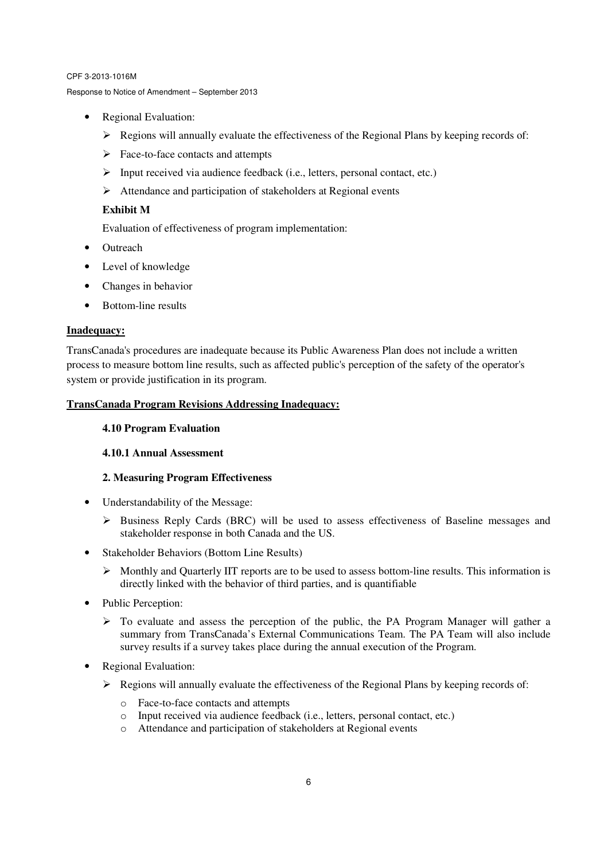- Regional Evaluation:
	- Regions will annually evaluate the effectiveness of the Regional Plans by keeping records of:
	- $\triangleright$  Face-to-face contacts and attempts
	- $\triangleright$  Input received via audience feedback (i.e., letters, personal contact, etc.)
	- $\triangleright$  Attendance and participation of stakeholders at Regional events

# **Exhibit M**

Evaluation of effectiveness of program implementation:

- Outreach
- Level of knowledge
- Changes in behavior
- Bottom-line results

# **Inadequacy:**

TransCanada's procedures are inadequate because its Public Awareness Plan does not include a written process to measure bottom line results, such as affected public's perception of the safety of the operator's system or provide justification in its program.

# **TransCanada Program Revisions Addressing Inadequacy:**

#### **4.10 Program Evaluation**

# **4.10.1 Annual Assessment**

# **2. Measuring Program Effectiveness**

- Understandability of the Message:
	- $\triangleright$  Business Reply Cards (BRC) will be used to assess effectiveness of Baseline messages and stakeholder response in both Canada and the US.
- Stakeholder Behaviors (Bottom Line Results)
	- $\triangleright$  Monthly and Quarterly IIT reports are to be used to assess bottom-line results. This information is directly linked with the behavior of third parties, and is quantifiable
- Public Perception:
	- $\triangleright$  To evaluate and assess the perception of the public, the PA Program Manager will gather a summary from TransCanada's External Communications Team. The PA Team will also include survey results if a survey takes place during the annual execution of the Program.
- Regional Evaluation:
	- $\triangleright$  Regions will annually evaluate the effectiveness of the Regional Plans by keeping records of:
		- o Face-to-face contacts and attempts
		- o Input received via audience feedback (i.e., letters, personal contact, etc.)
		- o Attendance and participation of stakeholders at Regional events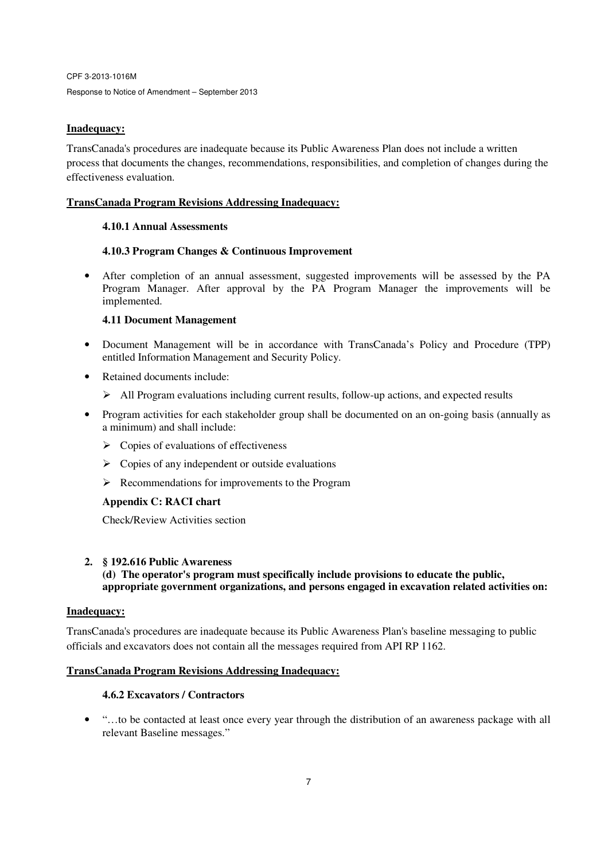# **Inadequacy:**

TransCanada's procedures are inadequate because its Public Awareness Plan does not include a written process that documents the changes, recommendations, responsibilities, and completion of changes during the effectiveness evaluation.

# **TransCanada Program Revisions Addressing Inadequacy:**

# **4.10.1 Annual Assessments**

# **4.10.3 Program Changes & Continuous Improvement**

• After completion of an annual assessment, suggested improvements will be assessed by the PA Program Manager. After approval by the PA Program Manager the improvements will be implemented.

# **4.11 Document Management**

- Document Management will be in accordance with TransCanada's Policy and Procedure (TPP) entitled Information Management and Security Policy.
- Retained documents include:
	- $\triangleright$  All Program evaluations including current results, follow-up actions, and expected results
- Program activities for each stakeholder group shall be documented on an on-going basis (annually as a minimum) and shall include:
	- $\triangleright$  Copies of evaluations of effectiveness
	- $\triangleright$  Copies of any independent or outside evaluations
	- $\triangleright$  Recommendations for improvements to the Program

# **Appendix C: RACI chart**

Check/Review Activities section

# **2. § 192.616 Public Awareness**

**(d) The operator's program must specifically include provisions to educate the public, appropriate government organizations, and persons engaged in excavation related activities on:** 

# **Inadequacy:**

TransCanada's procedures are inadequate because its Public Awareness Plan's baseline messaging to public officials and excavators does not contain all the messages required from API RP 1162.

# **TransCanada Program Revisions Addressing Inadequacy:**

# **4.6.2 Excavators / Contractors**

• "…to be contacted at least once every year through the distribution of an awareness package with all relevant Baseline messages."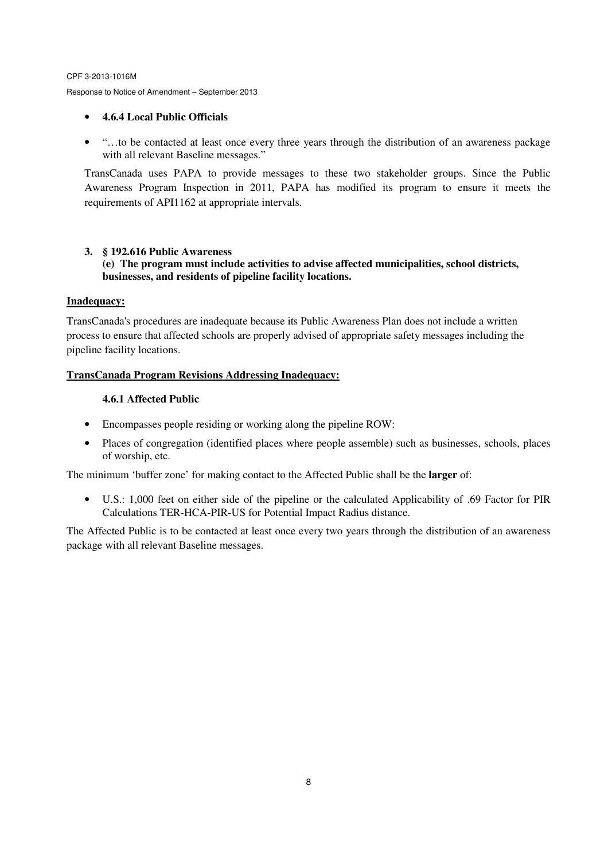# • **4.6.4 Local Public Officials**

• "…to be contacted at least once every three years through the distribution of an awareness package with all relevant Baseline messages."

TransCanada uses PAPA to provide messages to these two stakeholder groups. Since the Public Awareness Program Inspection in 2011, PAPA has modified its program to ensure it meets the requirements of API1162 at appropriate intervals.

# **3. § 192.616 Public Awareness**

**(e) The program must include activities to advise affected municipalities, school districts, businesses, and residents of pipeline facility locations.** 

#### **Inadequacy:**

TransCanada's procedures are inadequate because its Public Awareness Plan does not include a written process to ensure that affected schools are properly advised of appropriate safety messages including the pipeline facility locations.

# **TransCanada Program Revisions Addressing Inadequacy:**

#### **4.6.1 Affected Public**

- Encompasses people residing or working along the pipeline ROW:
- Places of congregation (identified places where people assemble) such as businesses, schools, places of worship, etc.

The minimum 'buffer zone' for making contact to the Affected Public shall be the **larger** of:

• U.S.: 1,000 feet on either side of the pipeline or the calculated Applicability of .69 Factor for PIR Calculations TER-HCA-PIR-US for Potential Impact Radius distance.

The Affected Public is to be contacted at least once every two years through the distribution of an awareness package with all relevant Baseline messages.